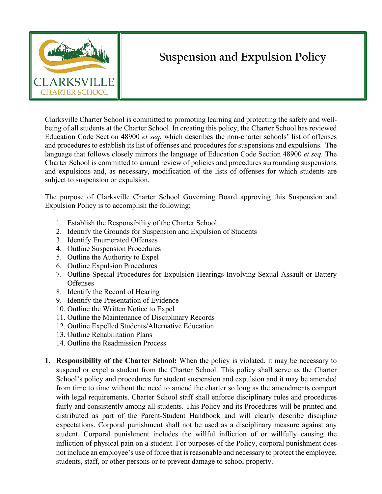

## **Suspension and Expulsion Policy**

Clarksville Charter School is committed to promoting learning and protecting the safety and wellbeing of all students at the Charter School. In creating this policy, the Charter School has reviewed Education Code Section 48900 *et seq.* which describes the non-charter schools' list of offenses and procedures to establish its list of offenses and procedures for suspensions and expulsions. The language that follows closely mirrors the language of Education Code Section 48900 *et seq.* The Charter School is committed to annual review of policies and procedures surrounding suspensions and expulsions and, as necessary, modification of the lists of offenses for which students are subject to suspension or expulsion.

The purpose of Clarksville Charter School Governing Board approving this Suspension and Expulsion Policy is to accomplish the following:

- 1. Establish the Responsibility of the Charter School
- 2. Identify the Grounds for Suspension and Expulsion of Students
- 3. Identify Enumerated Offenses
- 4. Outline Suspension Procedures
- 5. Outline the Authority to Expel
- 6. Outline Expulsion Procedures
- 7. Outline Special Procedures for Expulsion Hearings Involving Sexual Assault or Battery **Offenses**
- 8. Identify the Record of Hearing
- 9. Identify the Presentation of Evidence
- 10. Outline the Written Notice to Expel
- 11. Outline the Maintenance of Disciplinary Records
- 12. Outline Expelled Students/Alternative Education
- 13. Outline Rehabilitation Plans
- 14. Outline the Readmission Process
- **1. Responsibility of the Charter School:** When the policy is violated, it may be necessary to suspend or expel a student from the Charter School. This policy shall serve as the Charter School's policy and procedures for student suspension and expulsion and it may be amended from time to time without the need to amend the charter so long as the amendments comport with legal requirements. Charter School staff shall enforce disciplinary rules and procedures fairly and consistently among all students. This Policy and its Procedures will be printed and distributed as part of the Parent-Student Handbook and will clearly describe discipline expectations. Corporal punishment shall not be used as a disciplinary measure against any student. Corporal punishment includes the willful infliction of or willfully causing the infliction of physical pain on a student. For purposes of the Policy, corporal punishment does not include an employee's use of force that is reasonable and necessary to protect the employee, students, staff, or other persons or to prevent damage to school property.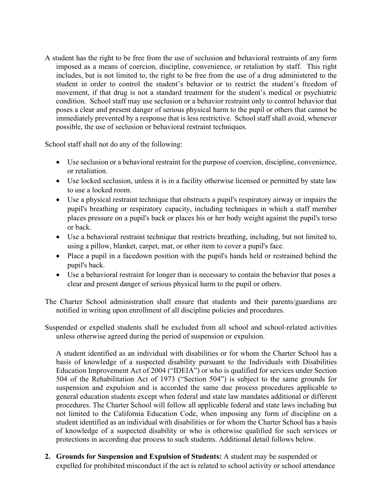A student has the right to be free from the use of seclusion and behavioral restraints of any form imposed as a means of coercion, discipline, convenience, or retaliation by staff. This right includes, but is not limited to, the right to be free from the use of a drug administered to the student in order to control the student's behavior or to restrict the student's freedom of movement, if that drug is not a standard treatment for the student's medical or psychiatric condition. School staff may use seclusion or a behavior restraint only to control behavior that poses a clear and present danger of serious physical harm to the pupil or others that cannot be immediately prevented by a response that is less restrictive. School staff shall avoid, whenever possible, the use of seclusion or behavioral restraint techniques.

School staff shall not do any of the following:

- Use seclusion or a behavioral restraint for the purpose of coercion, discipline, convenience, or retaliation.
- Use locked seclusion, unless it is in a facility otherwise licensed or permitted by state law to use a locked room.
- Use a physical restraint technique that obstructs a pupil's respiratory airway or impairs the pupil's breathing or respiratory capacity, including techniques in which a staff member places pressure on a pupil's back or places his or her body weight against the pupil's torso or back.
- Use a behavioral restraint technique that restricts breathing, including, but not limited to, using a pillow, blanket, carpet, mat, or other item to cover a pupil's face.
- Place a pupil in a facedown position with the pupil's hands held or restrained behind the pupil's back.
- Use a behavioral restraint for longer than is necessary to contain the behavior that poses a clear and present danger of serious physical harm to the pupil or others.
- The Charter School administration shall ensure that students and their parents/guardians are notified in writing upon enrollment of all discipline policies and procedures.

Suspended or expelled students shall be excluded from all school and school-related activities unless otherwise agreed during the period of suspension or expulsion.

A student identified as an individual with disabilities or for whom the Charter School has a basis of knowledge of a suspected disability pursuant to the Individuals with Disabilities Education Improvement Act of 2004 ("IDEIA") or who is qualified for services under Section 504 of the Rehabilitation Act of 1973 ("Section 504") is subject to the same grounds for suspension and expulsion and is accorded the same due process procedures applicable to general education students except when federal and state law mandates additional or different procedures. The Charter School will follow all applicable federal and state laws including but not limited to the California Education Code, when imposing any form of discipline on a student identified as an individual with disabilities or for whom the Charter School has a basis of knowledge of a suspected disability or who is otherwise qualified for such services or protections in according due process to such students. Additional detail follows below.

**2. Grounds for Suspension and Expulsion of Students:** A student may be suspended or expelled for prohibited misconduct if the act is related to school activity or school attendance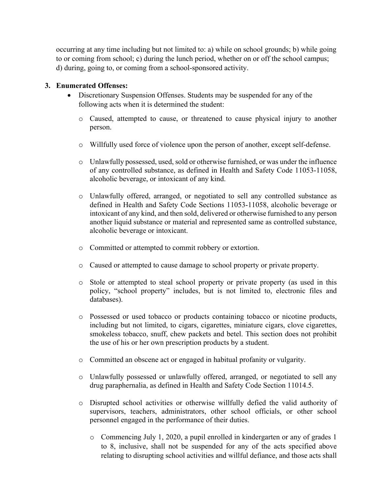occurring at any time including but not limited to: a) while on school grounds; b) while going to or coming from school; c) during the lunch period, whether on or off the school campus; d) during, going to, or coming from a school-sponsored activity.

## **3. Enumerated Offenses:**

- Discretionary Suspension Offenses. Students may be suspended for any of the following acts when it is determined the student:
	- o Caused, attempted to cause, or threatened to cause physical injury to another person.
	- o Willfully used force of violence upon the person of another, except self-defense.
	- o Unlawfully possessed, used, sold or otherwise furnished, or was under the influence of any controlled substance, as defined in Health and Safety Code 11053-11058, alcoholic beverage, or intoxicant of any kind.
	- o Unlawfully offered, arranged, or negotiated to sell any controlled substance as defined in Health and Safety Code Sections 11053-11058, alcoholic beverage or intoxicant of any kind, and then sold, delivered or otherwise furnished to any person another liquid substance or material and represented same as controlled substance, alcoholic beverage or intoxicant.
	- o Committed or attempted to commit robbery or extortion.
	- o Caused or attempted to cause damage to school property or private property.
	- o Stole or attempted to steal school property or private property (as used in this policy, "school property" includes, but is not limited to, electronic files and databases).
	- o Possessed or used tobacco or products containing tobacco or nicotine products, including but not limited, to cigars, cigarettes, miniature cigars, clove cigarettes, smokeless tobacco, snuff, chew packets and betel. This section does not prohibit the use of his or her own prescription products by a student.
	- o Committed an obscene act or engaged in habitual profanity or vulgarity.
	- o Unlawfully possessed or unlawfully offered, arranged, or negotiated to sell any drug paraphernalia, as defined in Health and Safety Code Section 11014.5.
	- o Disrupted school activities or otherwise willfully defied the valid authority of supervisors, teachers, administrators, other school officials, or other school personnel engaged in the performance of their duties.
		- o Commencing July 1, 2020, a pupil enrolled in kindergarten or any of grades 1 to 8, inclusive, shall not be suspended for any of the acts specified above relating to disrupting school activities and willful defiance, and those acts shall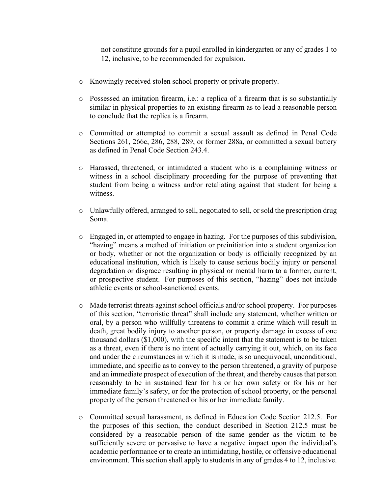not constitute grounds for a pupil enrolled in kindergarten or any of grades 1 to 12, inclusive, to be recommended for expulsion.

- o Knowingly received stolen school property or private property.
- o Possessed an imitation firearm, i.e.: a replica of a firearm that is so substantially similar in physical properties to an existing firearm as to lead a reasonable person to conclude that the replica is a firearm.
- o Committed or attempted to commit a sexual assault as defined in Penal Code Sections 261, 266c, 286, 288, 289, or former 288a, or committed a sexual battery as defined in Penal Code Section 243.4.
- o Harassed, threatened, or intimidated a student who is a complaining witness or witness in a school disciplinary proceeding for the purpose of preventing that student from being a witness and/or retaliating against that student for being a witness.
- o Unlawfully offered, arranged to sell, negotiated to sell, or sold the prescription drug Soma.
- o Engaged in, or attempted to engage in hazing. For the purposes of this subdivision, "hazing" means a method of initiation or preinitiation into a student organization or body, whether or not the organization or body is officially recognized by an educational institution, which is likely to cause serious bodily injury or personal degradation or disgrace resulting in physical or mental harm to a former, current, or prospective student. For purposes of this section, "hazing" does not include athletic events or school-sanctioned events.
- o Made terrorist threats against school officials and/or school property. For purposes of this section, "terroristic threat" shall include any statement, whether written or oral, by a person who willfully threatens to commit a crime which will result in death, great bodily injury to another person, or property damage in excess of one thousand dollars (\$1,000), with the specific intent that the statement is to be taken as a threat, even if there is no intent of actually carrying it out, which, on its face and under the circumstances in which it is made, is so unequivocal, unconditional, immediate, and specific as to convey to the person threatened, a gravity of purpose and an immediate prospect of execution of the threat, and thereby causes that person reasonably to be in sustained fear for his or her own safety or for his or her immediate family's safety, or for the protection of school property, or the personal property of the person threatened or his or her immediate family.
- o Committed sexual harassment, as defined in Education Code Section 212.5. For the purposes of this section, the conduct described in Section 212.5 must be considered by a reasonable person of the same gender as the victim to be sufficiently severe or pervasive to have a negative impact upon the individual's academic performance or to create an intimidating, hostile, or offensive educational environment. This section shall apply to students in any of grades 4 to 12, inclusive.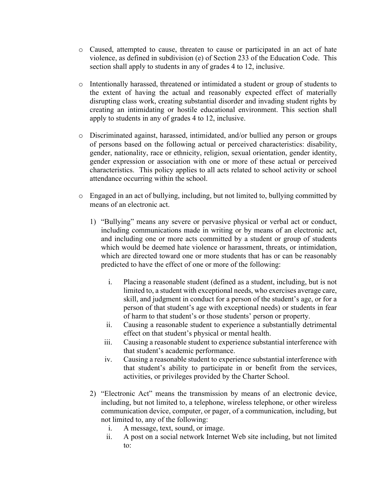- o Caused, attempted to cause, threaten to cause or participated in an act of hate violence, as defined in subdivision (e) of Section 233 of the Education Code. This section shall apply to students in any of grades 4 to 12, inclusive.
- o Intentionally harassed, threatened or intimidated a student or group of students to the extent of having the actual and reasonably expected effect of materially disrupting class work, creating substantial disorder and invading student rights by creating an intimidating or hostile educational environment. This section shall apply to students in any of grades 4 to 12, inclusive.
- o Discriminated against, harassed, intimidated, and/or bullied any person or groups of persons based on the following actual or perceived characteristics: disability, gender, nationality, race or ethnicity, religion, sexual orientation, gender identity, gender expression or association with one or more of these actual or perceived characteristics. This policy applies to all acts related to school activity or school attendance occurring within the school.
- $\circ$  Engaged in an act of bullying, including, but not limited to, bullying committed by means of an electronic act.
	- 1) "Bullying" means any severe or pervasive physical or verbal act or conduct, including communications made in writing or by means of an electronic act, and including one or more acts committed by a student or group of students which would be deemed hate violence or harassment, threats, or intimidation, which are directed toward one or more students that has or can be reasonably predicted to have the effect of one or more of the following:
		- i. Placing a reasonable student (defined as a student, including, but is not limited to, a student with exceptional needs, who exercises average care, skill, and judgment in conduct for a person of the student's age, or for a person of that student's age with exceptional needs) or students in fear of harm to that student's or those students' person or property.
		- ii. Causing a reasonable student to experience a substantially detrimental effect on that student's physical or mental health.
		- iii. Causing a reasonable student to experience substantial interference with that student's academic performance.
		- iv. Causing a reasonable student to experience substantial interference with that student's ability to participate in or benefit from the services, activities, or privileges provided by the Charter School.
	- 2) "Electronic Act" means the transmission by means of an electronic device, including, but not limited to, a telephone, wireless telephone, or other wireless communication device, computer, or pager, of a communication, including, but not limited to, any of the following:
		- i. A message, text, sound, or image.
		- ii. A post on a social network Internet Web site including, but not limited to: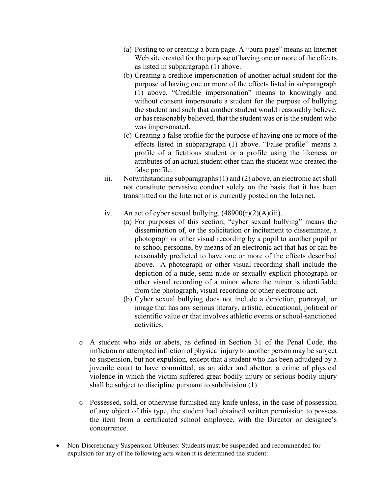- (a) Posting to or creating a burn page. A "burn page" means an Internet Web site created for the purpose of having one or more of the effects as listed in subparagraph (1) above.
- (b) Creating a credible impersonation of another actual student for the purpose of having one or more of the effects listed in subparagraph (1) above. "Credible impersonation" means to knowingly and without consent impersonate a student for the purpose of bullying the student and such that another student would reasonably believe, or has reasonably believed, that the student was or is the student who was impersonated.
- (c) Creating a false profile for the purpose of having one or more of the effects listed in subparagraph (1) above. "False profile" means a profile of a fictitious student or a profile using the likeness or attributes of an actual student other than the student who created the false profile.
- iii. Notwithstanding subparagraphs (1) and (2) above, an electronic act shall not constitute pervasive conduct solely on the basis that it has been transmitted on the Internet or is currently posted on the Internet.
- iv. An act of cyber sexual bullying.  $(48900(r)(2)(A)(iii)$ .
	- (a) For purposes of this section, "cyber sexual bullying" means the dissemination of, or the solicitation or incitement to disseminate, a photograph or other visual recording by a pupil to another pupil or to school personnel by means of an electronic act that has or can be reasonably predicted to have one or more of the effects described above. A photograph or other visual recording shall include the depiction of a nude, semi-nude or sexually explicit photograph or other visual recording of a minor where the minor is identifiable from the photograph, visual recording or other electronic act.
	- (b) Cyber sexual bullying does not include a depiction, portrayal, or image that has any serious literary, artistic, educational, political or scientific value or that involves athletic events or school-sanctioned activities.
- o A student who aids or abets, as defined in Section 31 of the Penal Code, the infliction or attempted infliction of physical injury to another person may be subject to suspension, but not expulsion, except that a student who has been adjudged by a juvenile court to have committed, as an aider and abettor, a crime of physical violence in which the victim suffered great bodily injury or serious bodily injury shall be subject to discipline pursuant to subdivision (1).
- o Possessed, sold, or otherwise furnished any knife unless, in the case of possession of any object of this type, the student had obtained written permission to possess the item from a certificated school employee, with the Director or designee's concurrence.
- Non-Discretionary Suspension Offenses: Students must be suspended and recommended for expulsion for any of the following acts when it is determined the student: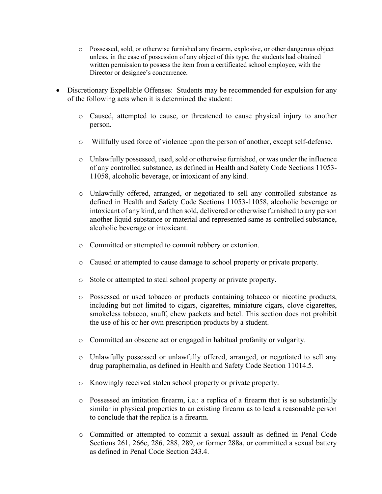- o Possessed, sold, or otherwise furnished any firearm, explosive, or other dangerous object unless, in the case of possession of any object of this type, the students had obtained written permission to possess the item from a certificated school employee, with the Director or designee's concurrence.
- Discretionary Expellable Offenses: Students may be recommended for expulsion for any of the following acts when it is determined the student:
	- o Caused, attempted to cause, or threatened to cause physical injury to another person.
	- o Willfully used force of violence upon the person of another, except self-defense.
	- o Unlawfully possessed, used, sold or otherwise furnished, or was under the influence of any controlled substance, as defined in Health and Safety Code Sections 11053- 11058, alcoholic beverage, or intoxicant of any kind.
	- o Unlawfully offered, arranged, or negotiated to sell any controlled substance as defined in Health and Safety Code Sections 11053-11058, alcoholic beverage or intoxicant of any kind, and then sold, delivered or otherwise furnished to any person another liquid substance or material and represented same as controlled substance, alcoholic beverage or intoxicant.
	- o Committed or attempted to commit robbery or extortion.
	- o Caused or attempted to cause damage to school property or private property.
	- o Stole or attempted to steal school property or private property.
	- o Possessed or used tobacco or products containing tobacco or nicotine products, including but not limited to cigars, cigarettes, miniature cigars, clove cigarettes, smokeless tobacco, snuff, chew packets and betel. This section does not prohibit the use of his or her own prescription products by a student.
	- o Committed an obscene act or engaged in habitual profanity or vulgarity.
	- o Unlawfully possessed or unlawfully offered, arranged, or negotiated to sell any drug paraphernalia, as defined in Health and Safety Code Section 11014.5.
	- o Knowingly received stolen school property or private property.
	- o Possessed an imitation firearm, i.e.: a replica of a firearm that is so substantially similar in physical properties to an existing firearm as to lead a reasonable person to conclude that the replica is a firearm.
	- o Committed or attempted to commit a sexual assault as defined in Penal Code Sections 261, 266c, 286, 288, 289, or former 288a, or committed a sexual battery as defined in Penal Code Section 243.4.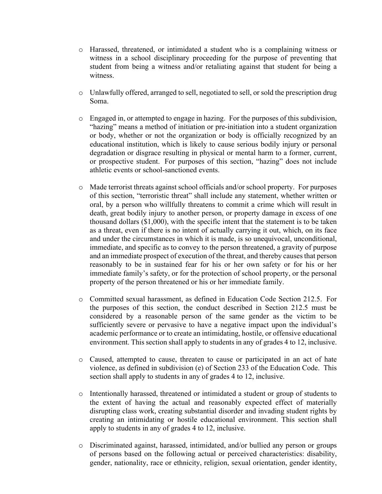- o Harassed, threatened, or intimidated a student who is a complaining witness or witness in a school disciplinary proceeding for the purpose of preventing that student from being a witness and/or retaliating against that student for being a witness.
- o Unlawfully offered, arranged to sell, negotiated to sell, or sold the prescription drug Soma.
- o Engaged in, or attempted to engage in hazing. For the purposes of this subdivision, "hazing" means a method of initiation or pre-initiation into a student organization or body, whether or not the organization or body is officially recognized by an educational institution, which is likely to cause serious bodily injury or personal degradation or disgrace resulting in physical or mental harm to a former, current, or prospective student. For purposes of this section, "hazing" does not include athletic events or school-sanctioned events.
- o Made terrorist threats against school officials and/or school property. For purposes of this section, "terroristic threat" shall include any statement, whether written or oral, by a person who willfully threatens to commit a crime which will result in death, great bodily injury to another person, or property damage in excess of one thousand dollars (\$1,000), with the specific intent that the statement is to be taken as a threat, even if there is no intent of actually carrying it out, which, on its face and under the circumstances in which it is made, is so unequivocal, unconditional, immediate, and specific as to convey to the person threatened, a gravity of purpose and an immediate prospect of execution of the threat, and thereby causes that person reasonably to be in sustained fear for his or her own safety or for his or her immediate family's safety, or for the protection of school property, or the personal property of the person threatened or his or her immediate family.
- o Committed sexual harassment, as defined in Education Code Section 212.5. For the purposes of this section, the conduct described in Section 212.5 must be considered by a reasonable person of the same gender as the victim to be sufficiently severe or pervasive to have a negative impact upon the individual's academic performance or to create an intimidating, hostile, or offensive educational environment. This section shall apply to students in any of grades 4 to 12, inclusive.
- o Caused, attempted to cause, threaten to cause or participated in an act of hate violence, as defined in subdivision (e) of Section 233 of the Education Code. This section shall apply to students in any of grades 4 to 12, inclusive.
- o Intentionally harassed, threatened or intimidated a student or group of students to the extent of having the actual and reasonably expected effect of materially disrupting class work, creating substantial disorder and invading student rights by creating an intimidating or hostile educational environment. This section shall apply to students in any of grades 4 to 12, inclusive.
- o Discriminated against, harassed, intimidated, and/or bullied any person or groups of persons based on the following actual or perceived characteristics: disability, gender, nationality, race or ethnicity, religion, sexual orientation, gender identity,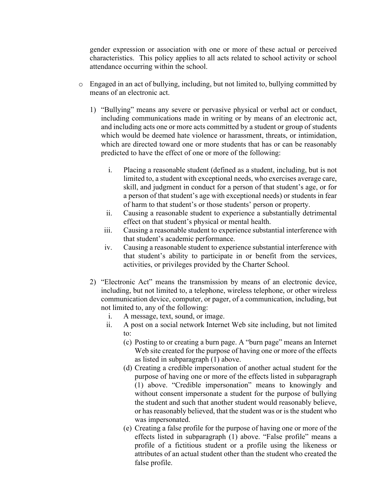gender expression or association with one or more of these actual or perceived characteristics. This policy applies to all acts related to school activity or school attendance occurring within the school.

- o Engaged in an act of bullying, including, but not limited to, bullying committed by means of an electronic act.
	- 1) "Bullying" means any severe or pervasive physical or verbal act or conduct, including communications made in writing or by means of an electronic act, and including acts one or more acts committed by a student or group of students which would be deemed hate violence or harassment, threats, or intimidation, which are directed toward one or more students that has or can be reasonably predicted to have the effect of one or more of the following:
		- i. Placing a reasonable student (defined as a student, including, but is not limited to, a student with exceptional needs, who exercises average care, skill, and judgment in conduct for a person of that student's age, or for a person of that student's age with exceptional needs) or students in fear of harm to that student's or those students' person or property.
		- ii. Causing a reasonable student to experience a substantially detrimental effect on that student's physical or mental health.
		- iii. Causing a reasonable student to experience substantial interference with that student's academic performance.
		- iv. Causing a reasonable student to experience substantial interference with that student's ability to participate in or benefit from the services, activities, or privileges provided by the Charter School.
	- 2) "Electronic Act" means the transmission by means of an electronic device, including, but not limited to, a telephone, wireless telephone, or other wireless communication device, computer, or pager, of a communication, including, but not limited to, any of the following:
		- i. A message, text, sound, or image.
		- ii. A post on a social network Internet Web site including, but not limited to:
			- (c) Posting to or creating a burn page. A "burn page" means an Internet Web site created for the purpose of having one or more of the effects as listed in subparagraph (1) above.
			- (d) Creating a credible impersonation of another actual student for the purpose of having one or more of the effects listed in subparagraph (1) above. "Credible impersonation" means to knowingly and without consent impersonate a student for the purpose of bullying the student and such that another student would reasonably believe, or has reasonably believed, that the student was or is the student who was impersonated.
			- (e) Creating a false profile for the purpose of having one or more of the effects listed in subparagraph (1) above. "False profile" means a profile of a fictitious student or a profile using the likeness or attributes of an actual student other than the student who created the false profile.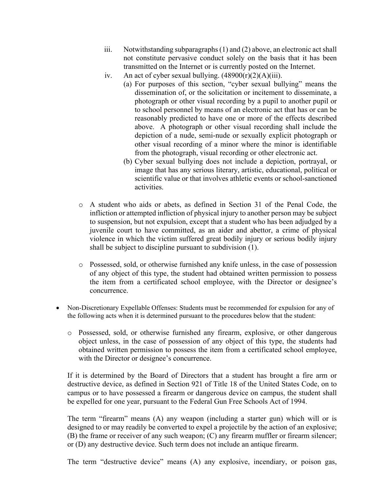- iii. Notwithstanding subparagraphs (1) and (2) above, an electronic act shall not constitute pervasive conduct solely on the basis that it has been transmitted on the Internet or is currently posted on the Internet.
- iv. An act of cyber sexual bullying.  $(48900(r)(2)(A)(iii)$ .
	- (a) For purposes of this section, "cyber sexual bullying" means the dissemination of, or the solicitation or incitement to disseminate, a photograph or other visual recording by a pupil to another pupil or to school personnel by means of an electronic act that has or can be reasonably predicted to have one or more of the effects described above. A photograph or other visual recording shall include the depiction of a nude, semi-nude or sexually explicit photograph or other visual recording of a minor where the minor is identifiable from the photograph, visual recording or other electronic act.
	- (b) Cyber sexual bullying does not include a depiction, portrayal, or image that has any serious literary, artistic, educational, political or scientific value or that involves athletic events or school-sanctioned activities.
- o A student who aids or abets, as defined in Section 31 of the Penal Code, the infliction or attempted infliction of physical injury to another person may be subject to suspension, but not expulsion, except that a student who has been adjudged by a juvenile court to have committed, as an aider and abettor, a crime of physical violence in which the victim suffered great bodily injury or serious bodily injury shall be subject to discipline pursuant to subdivision (1).
- o Possessed, sold, or otherwise furnished any knife unless, in the case of possession of any object of this type, the student had obtained written permission to possess the item from a certificated school employee, with the Director or designee's concurrence.
- Non-Discretionary Expellable Offenses: Students must be recommended for expulsion for any of the following acts when it is determined pursuant to the procedures below that the student:
	- o Possessed, sold, or otherwise furnished any firearm, explosive, or other dangerous object unless, in the case of possession of any object of this type, the students had obtained written permission to possess the item from a certificated school employee, with the Director or designee's concurrence.

If it is determined by the Board of Directors that a student has brought a fire arm or destructive device, as defined in Section 921 of Title 18 of the United States Code, on to campus or to have possessed a firearm or dangerous device on campus, the student shall be expelled for one year, pursuant to the Federal Gun Free Schools Act of 1994.

The term "firearm" means (A) any weapon (including a starter gun) which will or is designed to or may readily be converted to expel a projectile by the action of an explosive; (B) the frame or receiver of any such weapon; (C) any firearm muffler or firearm silencer; or (D) any destructive device. Such term does not include an antique firearm.

The term "destructive device" means (A) any explosive, incendiary, or poison gas,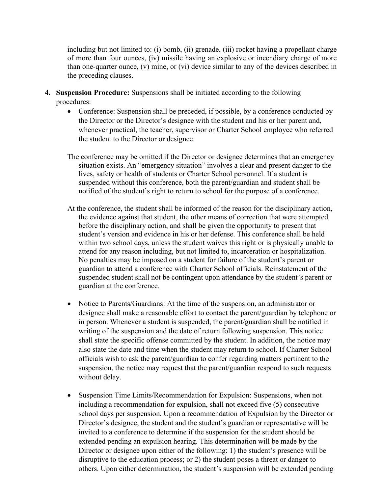including but not limited to: (i) bomb, (ii) grenade, (iii) rocket having a propellant charge of more than four ounces, (iv) missile having an explosive or incendiary charge of more than one-quarter ounce, (v) mine, or (vi) device similar to any of the devices described in the preceding clauses.

- **4. Suspension Procedure:** Suspensions shall be initiated according to the following procedures:
	- Conference: Suspension shall be preceded, if possible, by a conference conducted by the Director or the Director's designee with the student and his or her parent and, whenever practical, the teacher, supervisor or Charter School employee who referred the student to the Director or designee.
	- The conference may be omitted if the Director or designee determines that an emergency situation exists. An "emergency situation" involves a clear and present danger to the lives, safety or health of students or Charter School personnel. If a student is suspended without this conference, both the parent/guardian and student shall be notified of the student's right to return to school for the purpose of a conference.
	- At the conference, the student shall be informed of the reason for the disciplinary action, the evidence against that student, the other means of correction that were attempted before the disciplinary action, and shall be given the opportunity to present that student's version and evidence in his or her defense. This conference shall be held within two school days, unless the student waives this right or is physically unable to attend for any reason including, but not limited to, incarceration or hospitalization. No penalties may be imposed on a student for failure of the student's parent or guardian to attend a conference with Charter School officials. Reinstatement of the suspended student shall not be contingent upon attendance by the student's parent or guardian at the conference.
	- Notice to Parents/Guardians: At the time of the suspension, an administrator or designee shall make a reasonable effort to contact the parent/guardian by telephone or in person. Whenever a student is suspended, the parent/guardian shall be notified in writing of the suspension and the date of return following suspension. This notice shall state the specific offense committed by the student. In addition, the notice may also state the date and time when the student may return to school. If Charter School officials wish to ask the parent/guardian to confer regarding matters pertinent to the suspension, the notice may request that the parent/guardian respond to such requests without delay.
	- Suspension Time Limits/Recommendation for Expulsion: Suspensions, when not including a recommendation for expulsion, shall not exceed five (5) consecutive school days per suspension. Upon a recommendation of Expulsion by the Director or Director's designee, the student and the student's guardian or representative will be invited to a conference to determine if the suspension for the student should be extended pending an expulsion hearing. This determination will be made by the Director or designee upon either of the following: 1) the student's presence will be disruptive to the education process; or 2) the student poses a threat or danger to others. Upon either determination, the student's suspension will be extended pending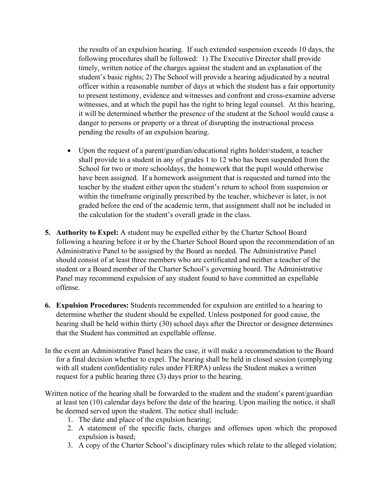the results of an expulsion hearing. If such extended suspension exceeds 10 days, the following procedures shall be followed: 1) The Executive Director shall provide timely, written notice of the charges against the student and an explanation of the student's basic rights; 2) The School will provide a hearing adjudicated by a neutral officer within a reasonable number of days at which the student has a fair opportunity to present testimony, evidence and witnesses and confront and cross-examine adverse witnesses, and at which the pupil has the right to bring legal counsel. At this hearing, it will be determined whether the presence of the student at the School would cause a danger to persons or property or a threat of disrupting the instructional process pending the results of an expulsion hearing.

- Upon the request of a parent/guardian/educational rights holder/student, a teacher shall provide to a student in any of grades 1 to 12 who has been suspended from the School for two or more schooldays, the homework that the pupil would otherwise have been assigned. If a homework assignment that is requested and turned into the teacher by the student either upon the student's return to school from suspension or within the timeframe originally prescribed by the teacher, whichever is later, is not graded before the end of the academic term, that assignment shall not be included in the calculation for the student's overall grade in the class.
- **5. Authority to Expel:** A student may be expelled either by the Charter School Board following a hearing before it or by the Charter School Board upon the recommendation of an Administrative Panel to be assigned by the Board as needed. The Administrative Panel should consist of at least three members who are certificated and neither a teacher of the student or a Board member of the Charter School's governing board. The Administrative Panel may recommend expulsion of any student found to have committed an expellable offense.
- **6. Expulsion Procedures:** Students recommended for expulsion are entitled to a hearing to determine whether the student should be expelled. Unless postponed for good cause, the hearing shall be held within thirty (30) school days after the Director or designee determines that the Student has committed an expellable offense.
- In the event an Administrative Panel hears the case, it will make a recommendation to the Board for a final decision whether to expel. The hearing shall be held in closed session (complying with all student confidentiality rules under FERPA) unless the Student makes a written request for a public hearing three (3) days prior to the hearing.
- Written notice of the hearing shall be forwarded to the student and the student's parent/guardian at least ten (10) calendar days before the date of the hearing. Upon mailing the notice, it shall be deemed served upon the student. The notice shall include:
	- 1. The date and place of the expulsion hearing;
	- 2. A statement of the specific facts, charges and offenses upon which the proposed expulsion is based;
	- 3. A copy of the Charter School's disciplinary rules which relate to the alleged violation;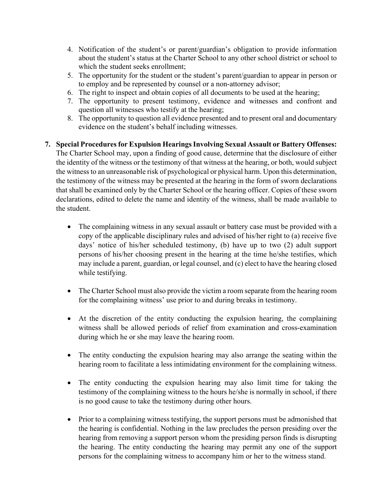- 4. Notification of the student's or parent/guardian's obligation to provide information about the student's status at the Charter School to any other school district or school to which the student seeks enrollment;
- 5. The opportunity for the student or the student's parent/guardian to appear in person or to employ and be represented by counsel or a non-attorney advisor;
- 6. The right to inspect and obtain copies of all documents to be used at the hearing;
- 7. The opportunity to present testimony, evidence and witnesses and confront and question all witnesses who testify at the hearing;
- 8. The opportunity to question all evidence presented and to present oral and documentary evidence on the student's behalf including witnesses.
- **7. Special Procedures for Expulsion Hearings Involving Sexual Assault or Battery Offenses:**  The Charter School may, upon a finding of good cause, determine that the disclosure of either the identity of the witness or the testimony of that witness at the hearing, or both, would subject the witness to an unreasonable risk of psychological or physical harm. Upon this determination, the testimony of the witness may be presented at the hearing in the form of sworn declarations that shall be examined only by the Charter School or the hearing officer. Copies of these sworn declarations, edited to delete the name and identity of the witness, shall be made available to the student.
	- The complaining witness in any sexual assault or battery case must be provided with a copy of the applicable disciplinary rules and advised of his/her right to (a) receive five days' notice of his/her scheduled testimony, (b) have up to two (2) adult support persons of his/her choosing present in the hearing at the time he/she testifies, which may include a parent, guardian, or legal counsel, and (c) elect to have the hearing closed while testifying.
	- The Charter School must also provide the victim a room separate from the hearing room for the complaining witness' use prior to and during breaks in testimony.
	- At the discretion of the entity conducting the expulsion hearing, the complaining witness shall be allowed periods of relief from examination and cross-examination during which he or she may leave the hearing room.
	- The entity conducting the expulsion hearing may also arrange the seating within the hearing room to facilitate a less intimidating environment for the complaining witness.
	- The entity conducting the expulsion hearing may also limit time for taking the testimony of the complaining witness to the hours he/she is normally in school, if there is no good cause to take the testimony during other hours.
	- Prior to a complaining witness testifying, the support persons must be admonished that the hearing is confidential. Nothing in the law precludes the person presiding over the hearing from removing a support person whom the presiding person finds is disrupting the hearing. The entity conducting the hearing may permit any one of the support persons for the complaining witness to accompany him or her to the witness stand.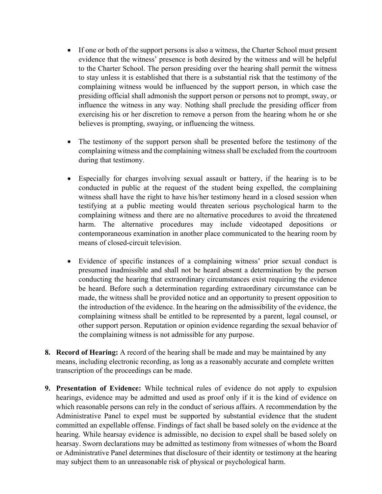- If one or both of the support persons is also a witness, the Charter School must present evidence that the witness' presence is both desired by the witness and will be helpful to the Charter School. The person presiding over the hearing shall permit the witness to stay unless it is established that there is a substantial risk that the testimony of the complaining witness would be influenced by the support person, in which case the presiding official shall admonish the support person or persons not to prompt, sway, or influence the witness in any way. Nothing shall preclude the presiding officer from exercising his or her discretion to remove a person from the hearing whom he or she believes is prompting, swaying, or influencing the witness.
- The testimony of the support person shall be presented before the testimony of the complaining witness and the complaining witness shall be excluded from the courtroom during that testimony.
- Especially for charges involving sexual assault or battery, if the hearing is to be conducted in public at the request of the student being expelled, the complaining witness shall have the right to have his/her testimony heard in a closed session when testifying at a public meeting would threaten serious psychological harm to the complaining witness and there are no alternative procedures to avoid the threatened harm. The alternative procedures may include videotaped depositions or contemporaneous examination in another place communicated to the hearing room by means of closed-circuit television.
- Evidence of specific instances of a complaining witness' prior sexual conduct is presumed inadmissible and shall not be heard absent a determination by the person conducting the hearing that extraordinary circumstances exist requiring the evidence be heard. Before such a determination regarding extraordinary circumstance can be made, the witness shall be provided notice and an opportunity to present opposition to the introduction of the evidence. In the hearing on the admissibility of the evidence, the complaining witness shall be entitled to be represented by a parent, legal counsel, or other support person. Reputation or opinion evidence regarding the sexual behavior of the complaining witness is not admissible for any purpose.
- **8. Record of Hearing:** A record of the hearing shall be made and may be maintained by any means, including electronic recording, as long as a reasonably accurate and complete written transcription of the proceedings can be made.
- **9. Presentation of Evidence:** While technical rules of evidence do not apply to expulsion hearings, evidence may be admitted and used as proof only if it is the kind of evidence on which reasonable persons can rely in the conduct of serious affairs. A recommendation by the Administrative Panel to expel must be supported by substantial evidence that the student committed an expellable offense. Findings of fact shall be based solely on the evidence at the hearing. While hearsay evidence is admissible, no decision to expel shall be based solely on hearsay. Sworn declarations may be admitted as testimony from witnesses of whom the Board or Administrative Panel determines that disclosure of their identity or testimony at the hearing may subject them to an unreasonable risk of physical or psychological harm.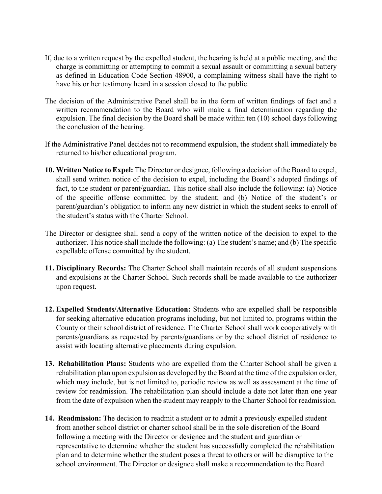- If, due to a written request by the expelled student, the hearing is held at a public meeting, and the charge is committing or attempting to commit a sexual assault or committing a sexual battery as defined in Education Code Section 48900, a complaining witness shall have the right to have his or her testimony heard in a session closed to the public.
- The decision of the Administrative Panel shall be in the form of written findings of fact and a written recommendation to the Board who will make a final determination regarding the expulsion. The final decision by the Board shall be made within ten (10) school days following the conclusion of the hearing.
- If the Administrative Panel decides not to recommend expulsion, the student shall immediately be returned to his/her educational program.
- **10. Written Notice to Expel:** The Director or designee, following a decision of the Board to expel, shall send written notice of the decision to expel, including the Board's adopted findings of fact, to the student or parent/guardian. This notice shall also include the following: (a) Notice of the specific offense committed by the student; and (b) Notice of the student's or parent/guardian's obligation to inform any new district in which the student seeks to enroll of the student's status with the Charter School.
- The Director or designee shall send a copy of the written notice of the decision to expel to the authorizer. This notice shall include the following: (a) The student's name; and (b) The specific expellable offense committed by the student.
- **11. Disciplinary Records:** The Charter School shall maintain records of all student suspensions and expulsions at the Charter School. Such records shall be made available to the authorizer upon request.
- **12. Expelled Students/Alternative Education:** Students who are expelled shall be responsible for seeking alternative education programs including, but not limited to, programs within the County or their school district of residence. The Charter School shall work cooperatively with parents/guardians as requested by parents/guardians or by the school district of residence to assist with locating alternative placements during expulsion.
- **13. Rehabilitation Plans:** Students who are expelled from the Charter School shall be given a rehabilitation plan upon expulsion as developed by the Board at the time of the expulsion order, which may include, but is not limited to, periodic review as well as assessment at the time of review for readmission. The rehabilitation plan should include a date not later than one year from the date of expulsion when the student may reapply to the Charter School for readmission.
- **14. Readmission:** The decision to readmit a student or to admit a previously expelled student from another school district or charter school shall be in the sole discretion of the Board following a meeting with the Director or designee and the student and guardian or representative to determine whether the student has successfully completed the rehabilitation plan and to determine whether the student poses a threat to others or will be disruptive to the school environment. The Director or designee shall make a recommendation to the Board